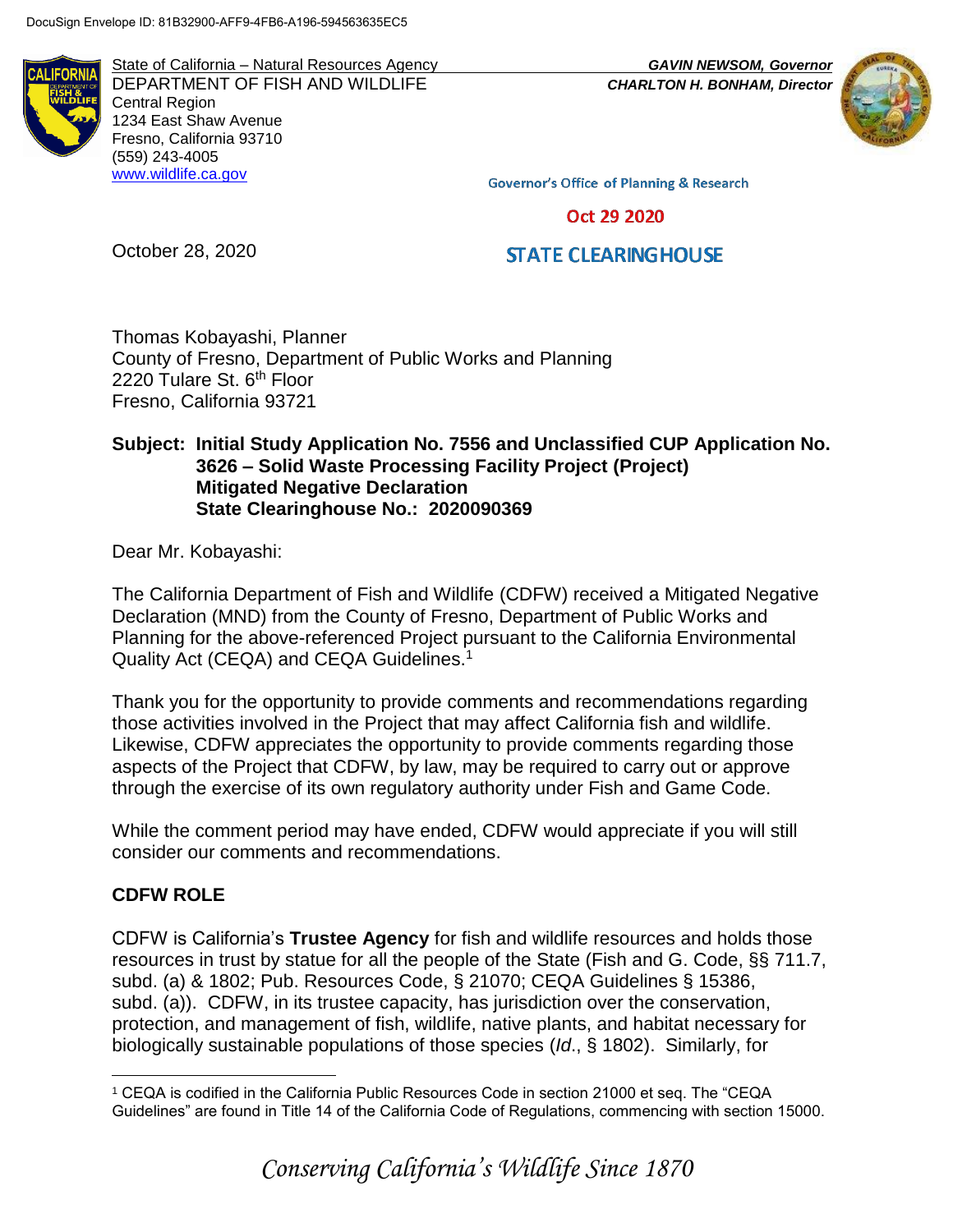State of California – Natural Resources Agency *GAVIN NEWSOM, Governor* DEPARTMENT OF FISH AND WILDLIFE *CHARLTON H. BONHAM, Director*  Central Region 1234 East Shaw Avenue Fresno, California 93710 (559) 243-4005 [www.wildlife.ca.gov](http://www.wildlife.ca.gov/)



**Governor's Office of Planning & Research** 

Oct 29 2020

# **STATE CLEARING HOUSE**

Thomas Kobayashi, Planner County of Fresno, Department of Public Works and Planning 2220 Tulare St. 6<sup>th</sup> Floor Fresno, California 93721

### **Subject: Initial Study Application No. 7556 and Unclassified CUP Application No. 3626 – Solid Waste Processing Facility Project (Project) Mitigated Negative Declaration State Clearinghouse No.: 2020090369**

Dear Mr. Kobayashi:

October 28, 2020

The California Department of Fish and Wildlife (CDFW) received a Mitigated Negative Declaration (MND) from the County of Fresno, Department of Public Works and Planning for the above-referenced Project pursuant to the California Environmental Quality Act (CEQA) and CEQA Guidelines.<sup>1</sup>

Thank you for the opportunity to provide comments and recommendations regarding those activities involved in the Project that may affect California fish and wildlife. Likewise, CDFW appreciates the opportunity to provide comments regarding those aspects of the Project that CDFW, by law, may be required to carry out or approve through the exercise of its own regulatory authority under Fish and Game Code.

While the comment period may have ended, CDFW would appreciate if you will still consider our comments and recommendations.

#### **CDFW ROLE**

CDFW is California's **Trustee Agency** for fish and wildlife resources and holds those resources in trust by statue for all the people of the State (Fish and G. Code, §§ 711.7, subd. (a) & 1802; Pub. Resources Code, § 21070; CEQA Guidelines § 15386, subd. (a)). CDFW, in its trustee capacity, has jurisdiction over the conservation, protection, and management of fish, wildlife, native plants, and habitat necessary for biologically sustainable populations of those species (*Id*., § 1802). Similarly, for

 $\overline{a}$ <sup>1</sup> CEQA is codified in the California Public Resources Code in section 21000 et seq. The "CEQA Guidelines" are found in Title 14 of the California Code of Regulations, commencing with section 15000.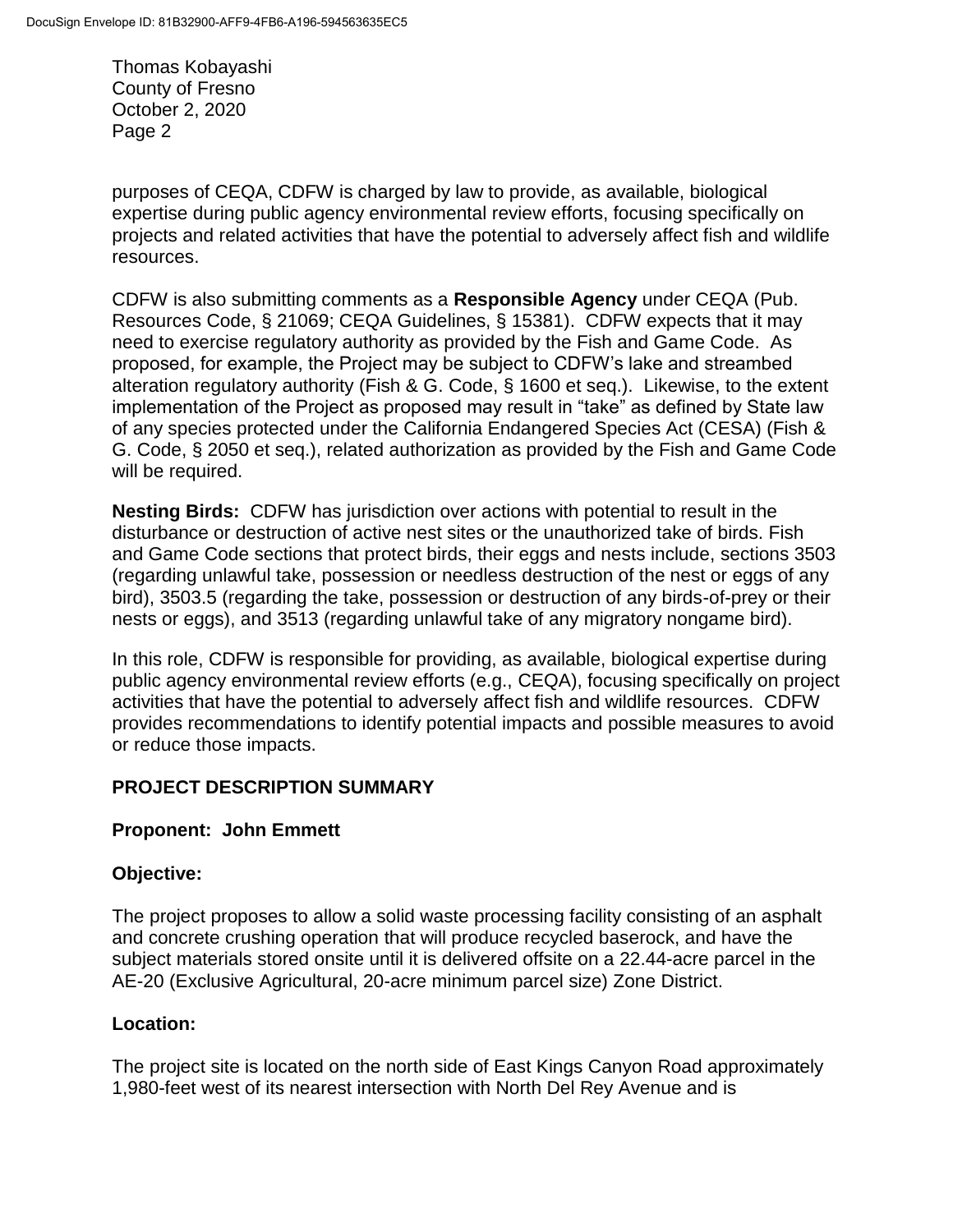purposes of CEQA, CDFW is charged by law to provide, as available, biological expertise during public agency environmental review efforts, focusing specifically on projects and related activities that have the potential to adversely affect fish and wildlife resources.

CDFW is also submitting comments as a **Responsible Agency** under CEQA (Pub. Resources Code, § 21069; CEQA Guidelines, § 15381). CDFW expects that it may need to exercise regulatory authority as provided by the Fish and Game Code. As proposed, for example, the Project may be subject to CDFW's lake and streambed alteration regulatory authority (Fish & G. Code, § 1600 et seq.). Likewise, to the extent implementation of the Project as proposed may result in "take" as defined by State law of any species protected under the California Endangered Species Act (CESA) (Fish & G. Code, § 2050 et seq.), related authorization as provided by the Fish and Game Code will be required.

**Nesting Birds:** CDFW has jurisdiction over actions with potential to result in the disturbance or destruction of active nest sites or the unauthorized take of birds. Fish and Game Code sections that protect birds, their eggs and nests include, sections 3503 (regarding unlawful take, possession or needless destruction of the nest or eggs of any bird), 3503.5 (regarding the take, possession or destruction of any birds-of-prey or their nests or eggs), and 3513 (regarding unlawful take of any migratory nongame bird).

In this role, CDFW is responsible for providing, as available, biological expertise during public agency environmental review efforts (e.g., CEQA), focusing specifically on project activities that have the potential to adversely affect fish and wildlife resources. CDFW provides recommendations to identify potential impacts and possible measures to avoid or reduce those impacts.

# **PROJECT DESCRIPTION SUMMARY**

## **Proponent: John Emmett**

## **Objective:**

The project proposes to allow a solid waste processing facility consisting of an asphalt and concrete crushing operation that will produce recycled baserock, and have the subject materials stored onsite until it is delivered offsite on a 22.44-acre parcel in the AE-20 (Exclusive Agricultural, 20-acre minimum parcel size) Zone District.

## **Location:**

The project site is located on the north side of East Kings Canyon Road approximately 1,980-feet west of its nearest intersection with North Del Rey Avenue and is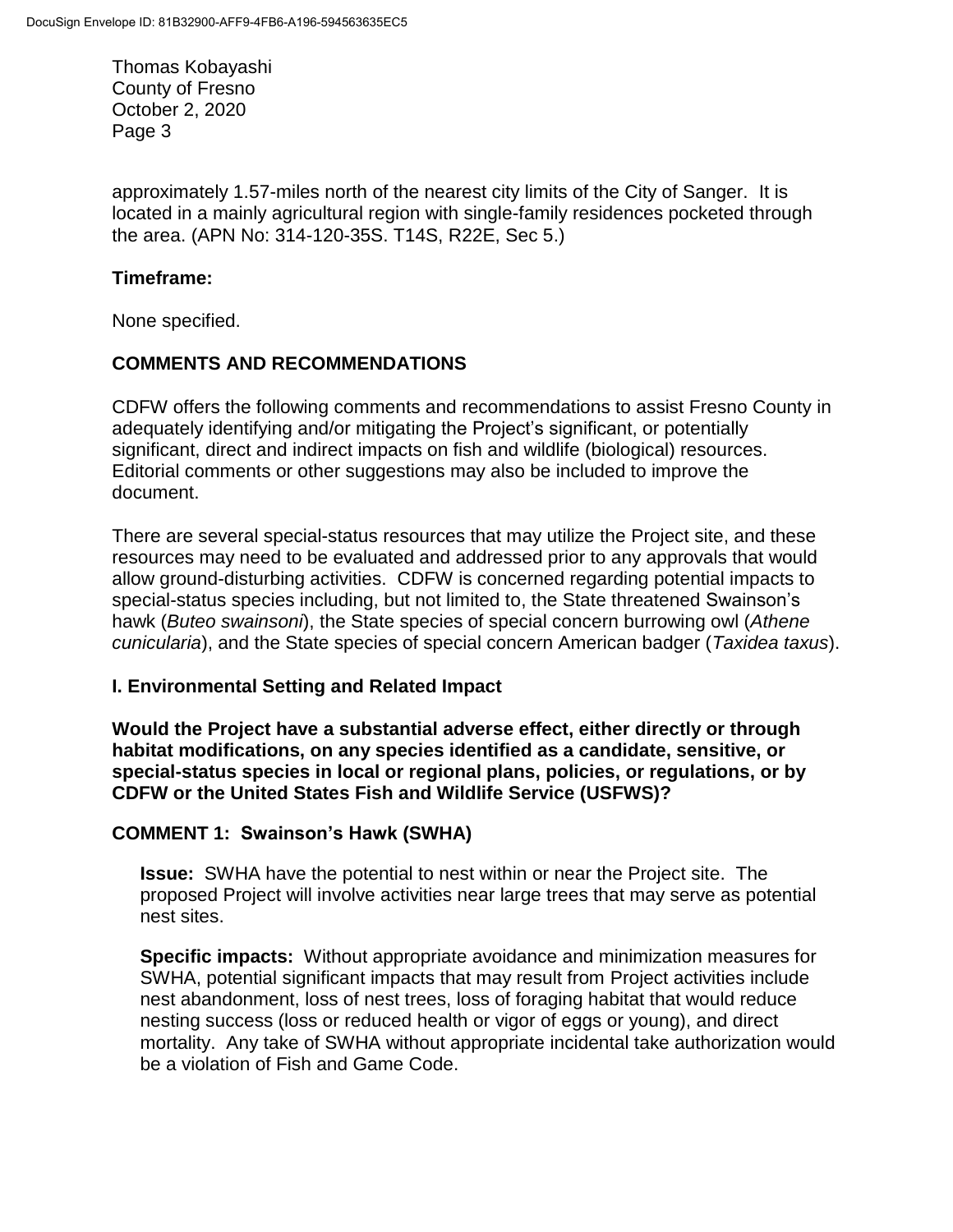approximately 1.57-miles north of the nearest city limits of the City of Sanger. It is located in a mainly agricultural region with single-family residences pocketed through the area. (APN No: 314-120-35S. T14S, R22E, Sec 5.)

## **Timeframe:**

None specified.

## **COMMENTS AND RECOMMENDATIONS**

CDFW offers the following comments and recommendations to assist Fresno County in adequately identifying and/or mitigating the Project's significant, or potentially significant, direct and indirect impacts on fish and wildlife (biological) resources. Editorial comments or other suggestions may also be included to improve the document.

There are several special-status resources that may utilize the Project site, and these resources may need to be evaluated and addressed prior to any approvals that would allow ground-disturbing activities. CDFW is concerned regarding potential impacts to special-status species including, but not limited to, the State threatened Swainson's hawk (*Buteo swainsoni*), the State species of special concern burrowing owl (*Athene cunicularia*), and the State species of special concern American badger (*Taxidea taxus*).

## **I. Environmental Setting and Related Impact**

**Would the Project have a substantial adverse effect, either directly or through habitat modifications, on any species identified as a candidate, sensitive, or special-status species in local or regional plans, policies, or regulations, or by CDFW or the United States Fish and Wildlife Service (USFWS)?**

## **COMMENT 1: Swainson's Hawk (SWHA)**

**Issue:** SWHA have the potential to nest within or near the Project site. The proposed Project will involve activities near large trees that may serve as potential nest sites.

**Specific impacts:** Without appropriate avoidance and minimization measures for SWHA, potential significant impacts that may result from Project activities include nest abandonment, loss of nest trees, loss of foraging habitat that would reduce nesting success (loss or reduced health or vigor of eggs or young), and direct mortality. Any take of SWHA without appropriate incidental take authorization would be a violation of Fish and Game Code.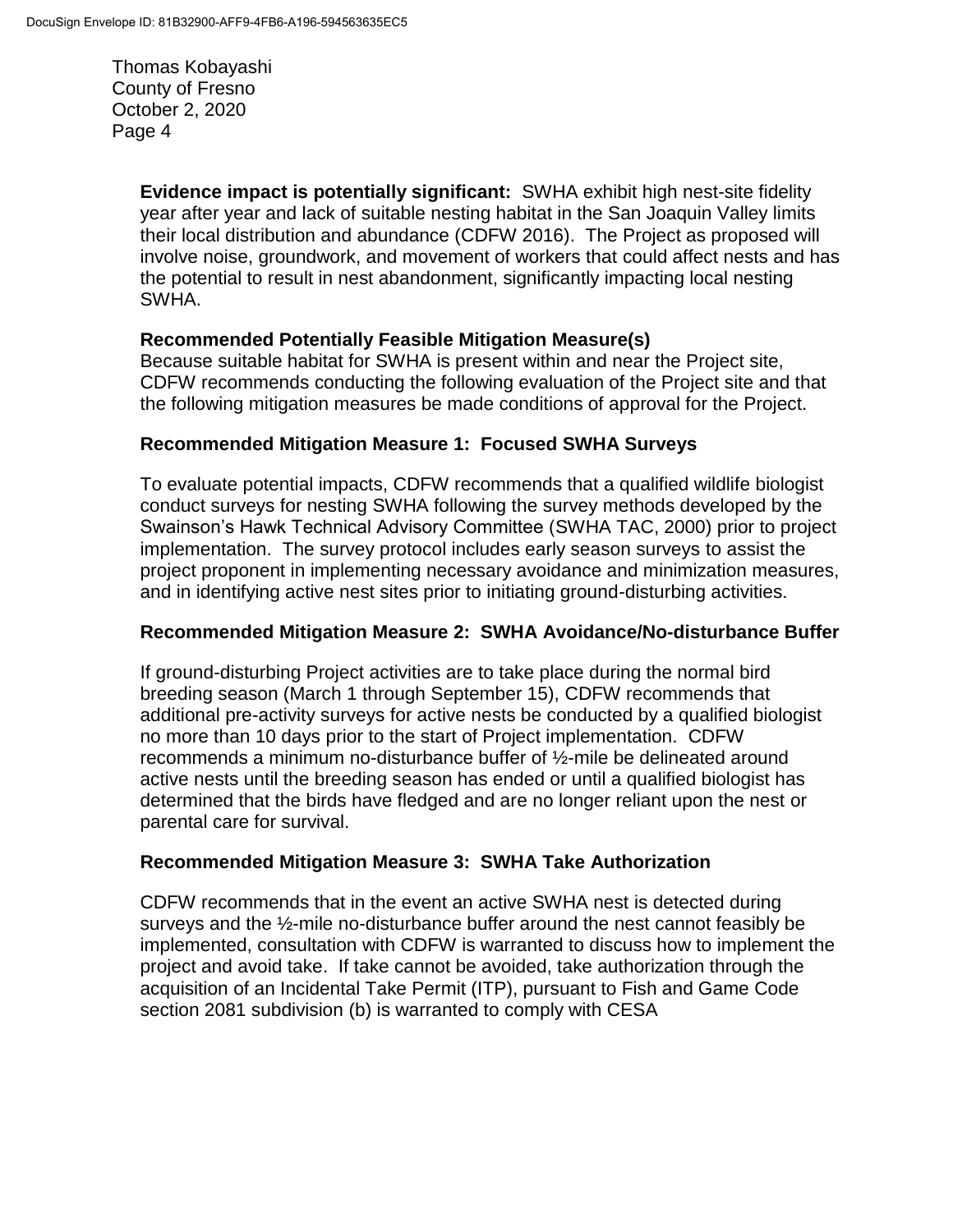> **Evidence impact is potentially significant:** SWHA exhibit high nest-site fidelity year after year and lack of suitable nesting habitat in the San Joaquin Valley limits their local distribution and abundance (CDFW 2016). The Project as proposed will involve noise, groundwork, and movement of workers that could affect nests and has the potential to result in nest abandonment, significantly impacting local nesting SWHA.

## **Recommended Potentially Feasible Mitigation Measure(s)**

Because suitable habitat for SWHA is present within and near the Project site, CDFW recommends conducting the following evaluation of the Project site and that the following mitigation measures be made conditions of approval for the Project.

### **Recommended Mitigation Measure 1: Focused SWHA Surveys**

To evaluate potential impacts, CDFW recommends that a qualified wildlife biologist conduct surveys for nesting SWHA following the survey methods developed by the Swainson's Hawk Technical Advisory Committee (SWHA TAC, 2000) prior to project implementation. The survey protocol includes early season surveys to assist the project proponent in implementing necessary avoidance and minimization measures, and in identifying active nest sites prior to initiating ground-disturbing activities.

## **Recommended Mitigation Measure 2: SWHA Avoidance/No-disturbance Buffer**

If ground-disturbing Project activities are to take place during the normal bird breeding season (March 1 through September 15), CDFW recommends that additional pre-activity surveys for active nests be conducted by a qualified biologist no more than 10 days prior to the start of Project implementation. CDFW recommends a minimum no-disturbance buffer of ½-mile be delineated around active nests until the breeding season has ended or until a qualified biologist has determined that the birds have fledged and are no longer reliant upon the nest or parental care for survival.

## **Recommended Mitigation Measure 3: SWHA Take Authorization**

CDFW recommends that in the event an active SWHA nest is detected during surveys and the ½-mile no-disturbance buffer around the nest cannot feasibly be implemented, consultation with CDFW is warranted to discuss how to implement the project and avoid take. If take cannot be avoided, take authorization through the acquisition of an Incidental Take Permit (ITP), pursuant to Fish and Game Code section 2081 subdivision (b) is warranted to comply with CESA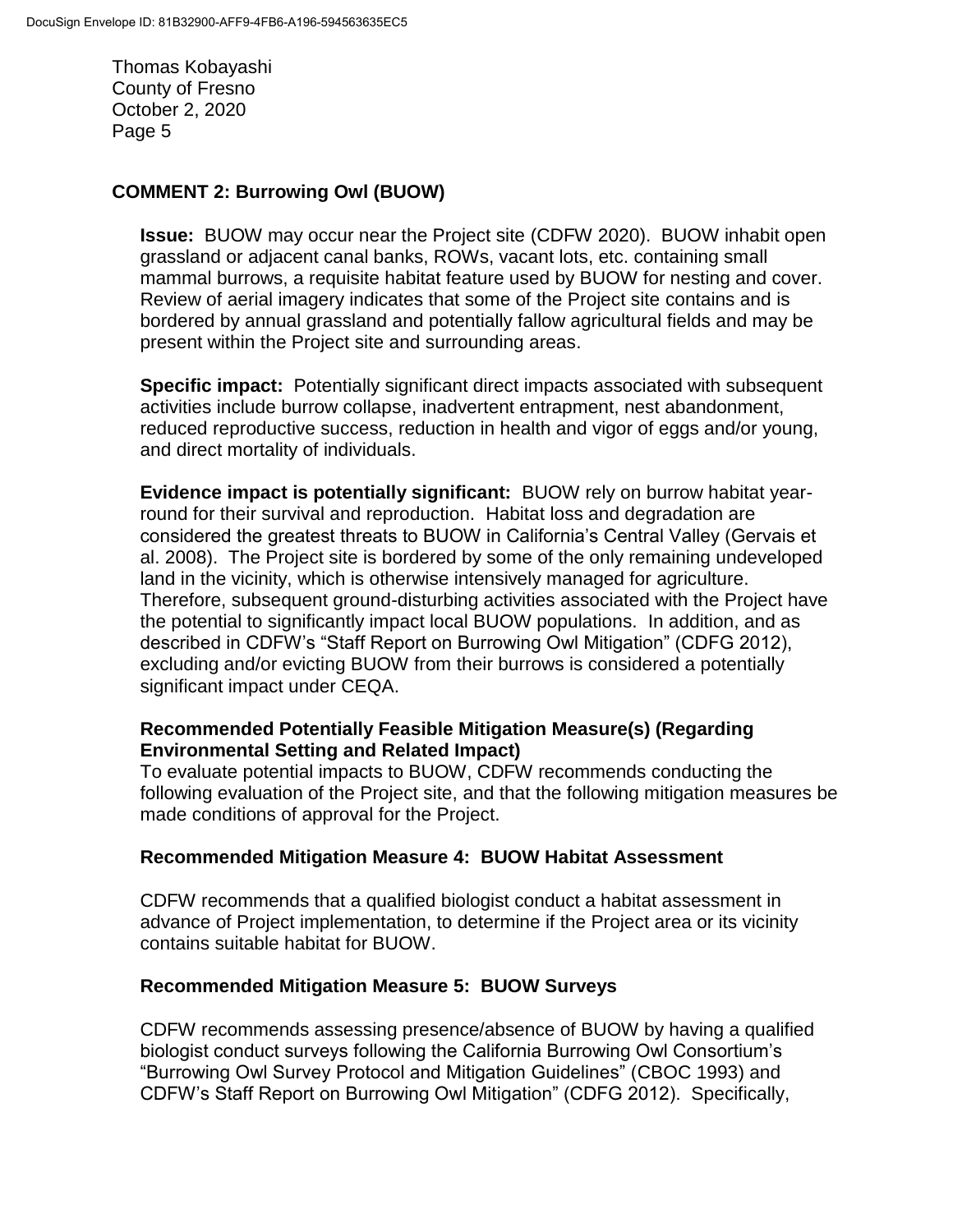### **COMMENT 2: Burrowing Owl (BUOW)**

**Issue:** BUOW may occur near the Project site (CDFW 2020). BUOW inhabit open grassland or adjacent canal banks, ROWs, vacant lots, etc. containing small mammal burrows, a requisite habitat feature used by BUOW for nesting and cover. Review of aerial imagery indicates that some of the Project site contains and is bordered by annual grassland and potentially fallow agricultural fields and may be present within the Project site and surrounding areas.

**Specific impact:** Potentially significant direct impacts associated with subsequent activities include burrow collapse, inadvertent entrapment, nest abandonment, reduced reproductive success, reduction in health and vigor of eggs and/or young, and direct mortality of individuals.

**Evidence impact is potentially significant:** BUOW rely on burrow habitat yearround for their survival and reproduction. Habitat loss and degradation are considered the greatest threats to BUOW in California's Central Valley (Gervais et al. 2008). The Project site is bordered by some of the only remaining undeveloped land in the vicinity, which is otherwise intensively managed for agriculture. Therefore, subsequent ground-disturbing activities associated with the Project have the potential to significantly impact local BUOW populations. In addition, and as described in CDFW's "Staff Report on Burrowing Owl Mitigation" (CDFG 2012), excluding and/or evicting BUOW from their burrows is considered a potentially significant impact under CEQA.

### **Recommended Potentially Feasible Mitigation Measure(s) (Regarding Environmental Setting and Related Impact)**

To evaluate potential impacts to BUOW, CDFW recommends conducting the following evaluation of the Project site, and that the following mitigation measures be made conditions of approval for the Project.

#### **Recommended Mitigation Measure 4: BUOW Habitat Assessment**

CDFW recommends that a qualified biologist conduct a habitat assessment in advance of Project implementation, to determine if the Project area or its vicinity contains suitable habitat for BUOW.

#### **Recommended Mitigation Measure 5: BUOW Surveys**

CDFW recommends assessing presence/absence of BUOW by having a qualified biologist conduct surveys following the California Burrowing Owl Consortium's "Burrowing Owl Survey Protocol and Mitigation Guidelines" (CBOC 1993) and CDFW's Staff Report on Burrowing Owl Mitigation" (CDFG 2012). Specifically,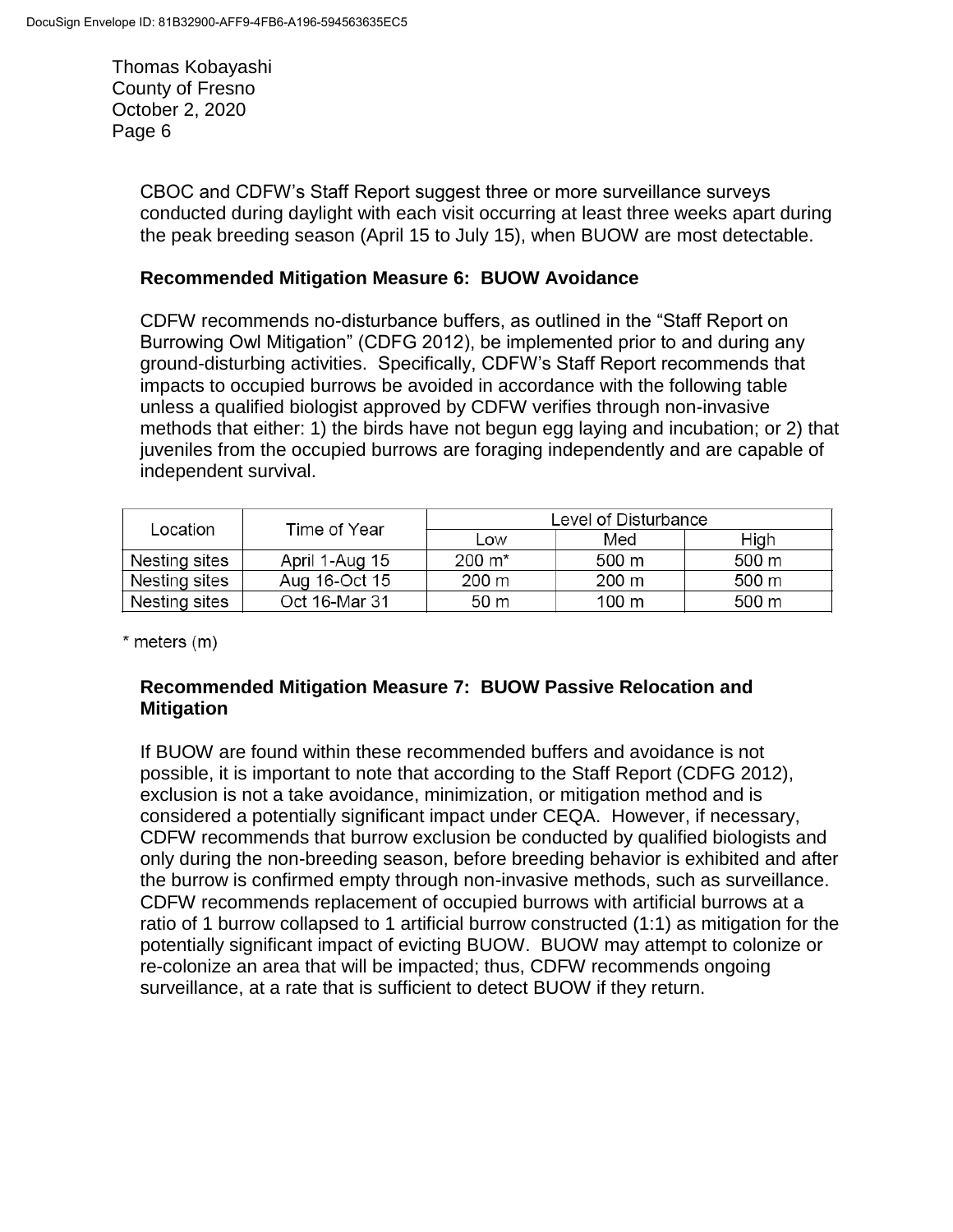> CBOC and CDFW's Staff Report suggest three or more surveillance surveys conducted during daylight with each visit occurring at least three weeks apart during the peak breeding season (April 15 to July 15), when BUOW are most detectable.

#### **Recommended Mitigation Measure 6: BUOW Avoidance**

CDFW recommends no-disturbance buffers, as outlined in the "Staff Report on Burrowing Owl Mitigation" (CDFG 2012), be implemented prior to and during any ground-disturbing activities. Specifically, CDFW's Staff Report recommends that impacts to occupied burrows be avoided in accordance with the following table unless a qualified biologist approved by CDFW verifies through non-invasive methods that either: 1) the birds have not begun egg laying and incubation; or 2) that juveniles from the occupied burrows are foraging independently and are capable of independent survival.

| Location      | Time of Year   | Level of Disturbance |                 |       |
|---------------|----------------|----------------------|-----------------|-------|
|               |                | Low                  | Med             | High  |
| Nesting sites | April 1-Aug 15 | 200 m <sup>*</sup>   | 500 m           | 500 m |
| Nesting sites | Aug 16-Oct 15  | 200 m                | $200 \text{ m}$ | 500 m |
| Nesting sites | Oct 16-Mar 31  | 50 m                 | 100 m           | 500 m |

\* meters (m)

### **Recommended Mitigation Measure 7: BUOW Passive Relocation and Mitigation**

If BUOW are found within these recommended buffers and avoidance is not possible, it is important to note that according to the Staff Report (CDFG 2012), exclusion is not a take avoidance, minimization, or mitigation method and is considered a potentially significant impact under CEQA. However, if necessary, CDFW recommends that burrow exclusion be conducted by qualified biologists and only during the non-breeding season, before breeding behavior is exhibited and after the burrow is confirmed empty through non-invasive methods, such as surveillance. CDFW recommends replacement of occupied burrows with artificial burrows at a ratio of 1 burrow collapsed to 1 artificial burrow constructed (1:1) as mitigation for the potentially significant impact of evicting BUOW. BUOW may attempt to colonize or re-colonize an area that will be impacted; thus, CDFW recommends ongoing surveillance, at a rate that is sufficient to detect BUOW if they return.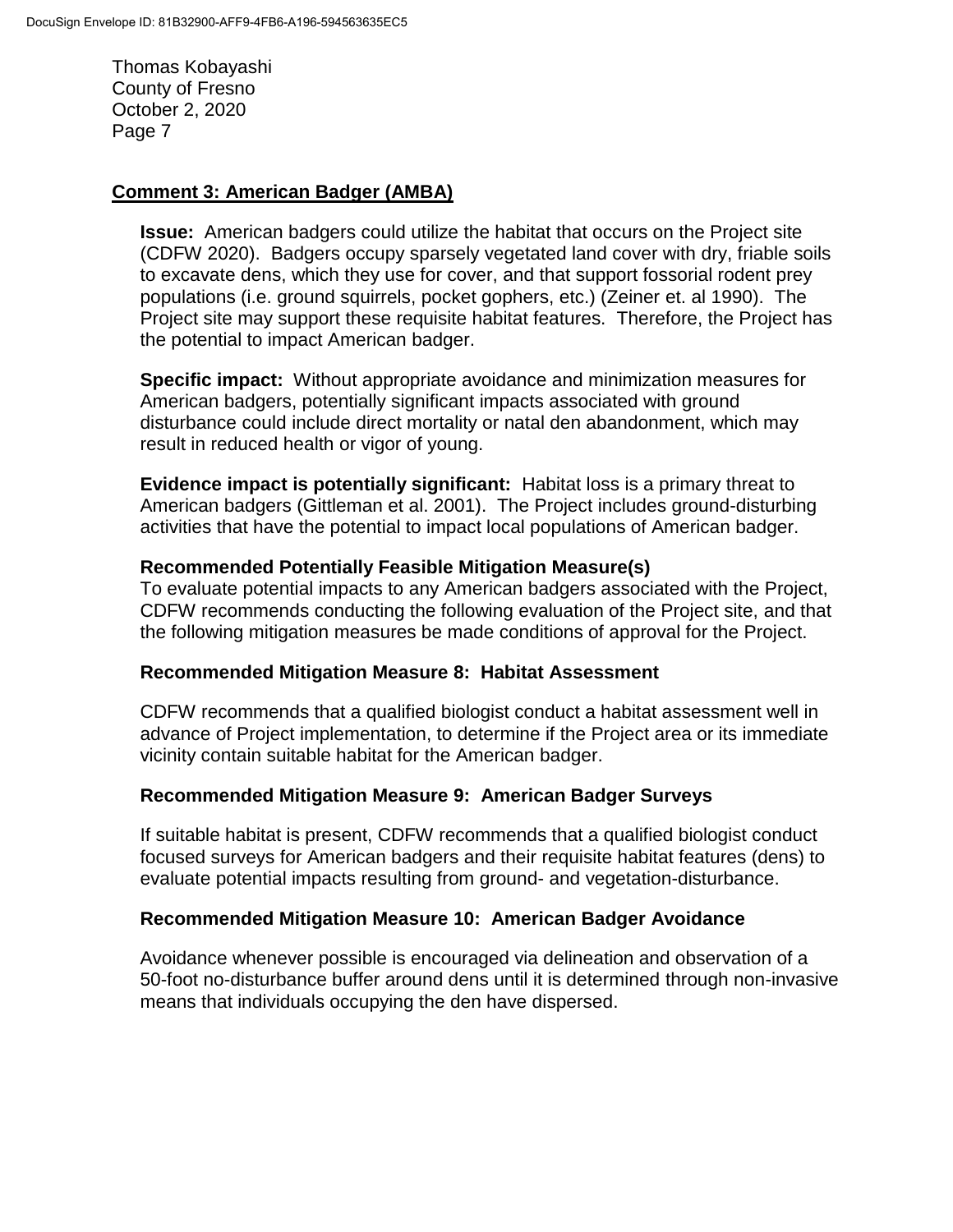#### **Comment 3: American Badger (AMBA)**

**Issue:** American badgers could utilize the habitat that occurs on the Project site (CDFW 2020). Badgers occupy sparsely vegetated land cover with dry, friable soils to excavate dens, which they use for cover, and that support fossorial rodent prey populations (i.e. ground squirrels, pocket gophers, etc.) (Zeiner et. al 1990). The Project site may support these requisite habitat features. Therefore, the Project has the potential to impact American badger.

**Specific impact:** Without appropriate avoidance and minimization measures for American badgers, potentially significant impacts associated with ground disturbance could include direct mortality or natal den abandonment, which may result in reduced health or vigor of young.

**Evidence impact is potentially significant:** Habitat loss is a primary threat to American badgers (Gittleman et al. 2001). The Project includes ground-disturbing activities that have the potential to impact local populations of American badger.

#### **Recommended Potentially Feasible Mitigation Measure(s)**

To evaluate potential impacts to any American badgers associated with the Project, CDFW recommends conducting the following evaluation of the Project site, and that the following mitigation measures be made conditions of approval for the Project.

#### **Recommended Mitigation Measure 8: Habitat Assessment**

CDFW recommends that a qualified biologist conduct a habitat assessment well in advance of Project implementation, to determine if the Project area or its immediate vicinity contain suitable habitat for the American badger.

#### **Recommended Mitigation Measure 9: American Badger Surveys**

If suitable habitat is present, CDFW recommends that a qualified biologist conduct focused surveys for American badgers and their requisite habitat features (dens) to evaluate potential impacts resulting from ground- and vegetation-disturbance.

#### **Recommended Mitigation Measure 10: American Badger Avoidance**

Avoidance whenever possible is encouraged via delineation and observation of a 50-foot no-disturbance buffer around dens until it is determined through non-invasive means that individuals occupying the den have dispersed.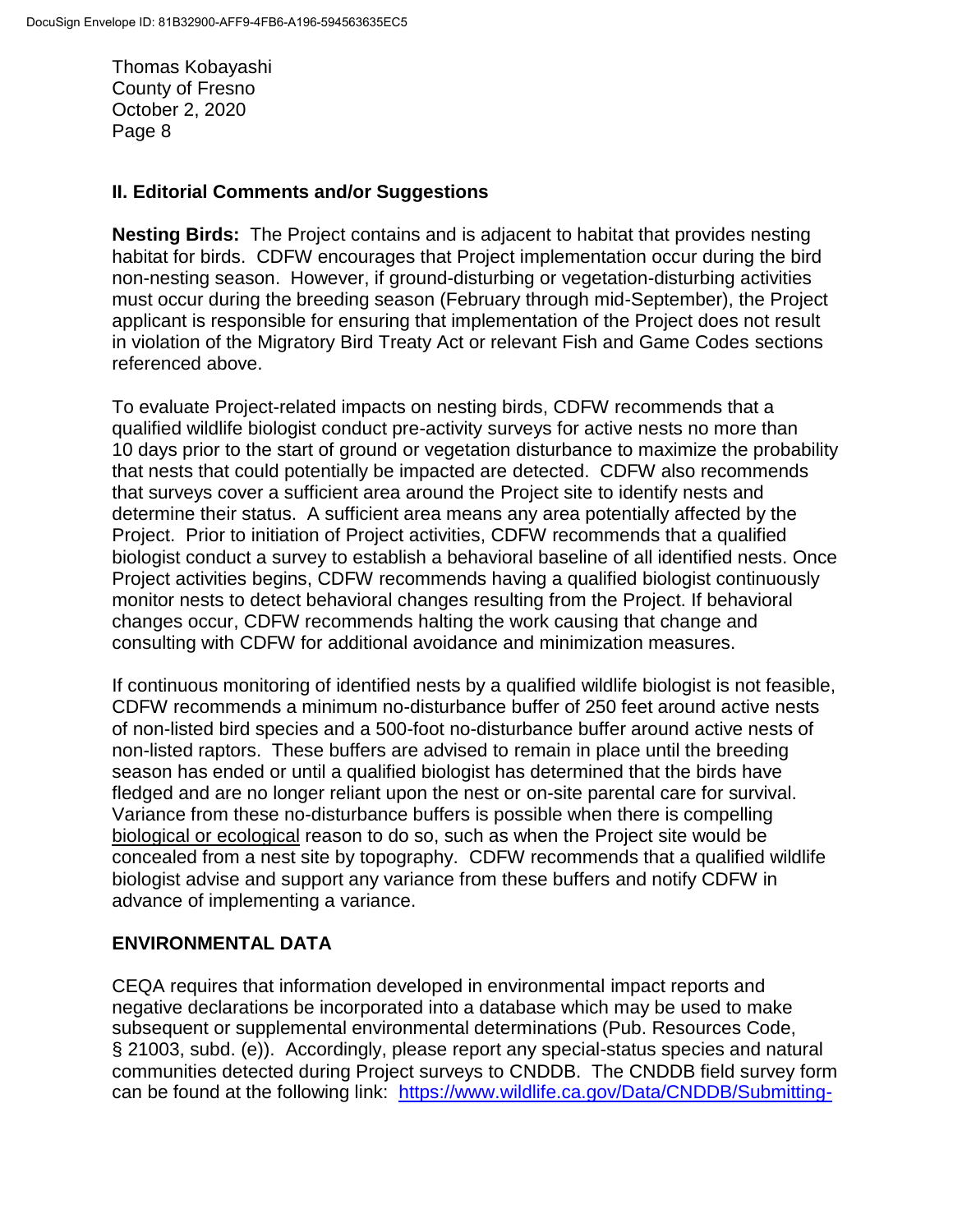#### **II. Editorial Comments and/or Suggestions**

**Nesting Birds:** The Project contains and is adjacent to habitat that provides nesting habitat for birds. CDFW encourages that Project implementation occur during the bird non-nesting season. However, if ground-disturbing or vegetation-disturbing activities must occur during the breeding season (February through mid-September), the Project applicant is responsible for ensuring that implementation of the Project does not result in violation of the Migratory Bird Treaty Act or relevant Fish and Game Codes sections referenced above.

To evaluate Project-related impacts on nesting birds, CDFW recommends that a qualified wildlife biologist conduct pre-activity surveys for active nests no more than 10 days prior to the start of ground or vegetation disturbance to maximize the probability that nests that could potentially be impacted are detected. CDFW also recommends that surveys cover a sufficient area around the Project site to identify nests and determine their status. A sufficient area means any area potentially affected by the Project. Prior to initiation of Project activities, CDFW recommends that a qualified biologist conduct a survey to establish a behavioral baseline of all identified nests. Once Project activities begins, CDFW recommends having a qualified biologist continuously monitor nests to detect behavioral changes resulting from the Project. If behavioral changes occur, CDFW recommends halting the work causing that change and consulting with CDFW for additional avoidance and minimization measures.

If continuous monitoring of identified nests by a qualified wildlife biologist is not feasible, CDFW recommends a minimum no-disturbance buffer of 250 feet around active nests of non-listed bird species and a 500-foot no-disturbance buffer around active nests of non-listed raptors. These buffers are advised to remain in place until the breeding season has ended or until a qualified biologist has determined that the birds have fledged and are no longer reliant upon the nest or on-site parental care for survival. Variance from these no-disturbance buffers is possible when there is compelling biological or ecological reason to do so, such as when the Project site would be concealed from a nest site by topography. CDFW recommends that a qualified wildlife biologist advise and support any variance from these buffers and notify CDFW in advance of implementing a variance.

#### **ENVIRONMENTAL DATA**

CEQA requires that information developed in environmental impact reports and negative declarations be incorporated into a database which may be used to make subsequent or supplemental environmental determinations (Pub. Resources Code, § 21003, subd. (e)). Accordingly, please report any special-status species and natural communities detected during Project surveys to CNDDB. The CNDDB field survey form can be found at the following link: [https://www.wildlife.ca.gov/Data/CNDDB/Submitting-](https://www.wildlife.ca.gov/Data/CNDDB/Submitting-Data)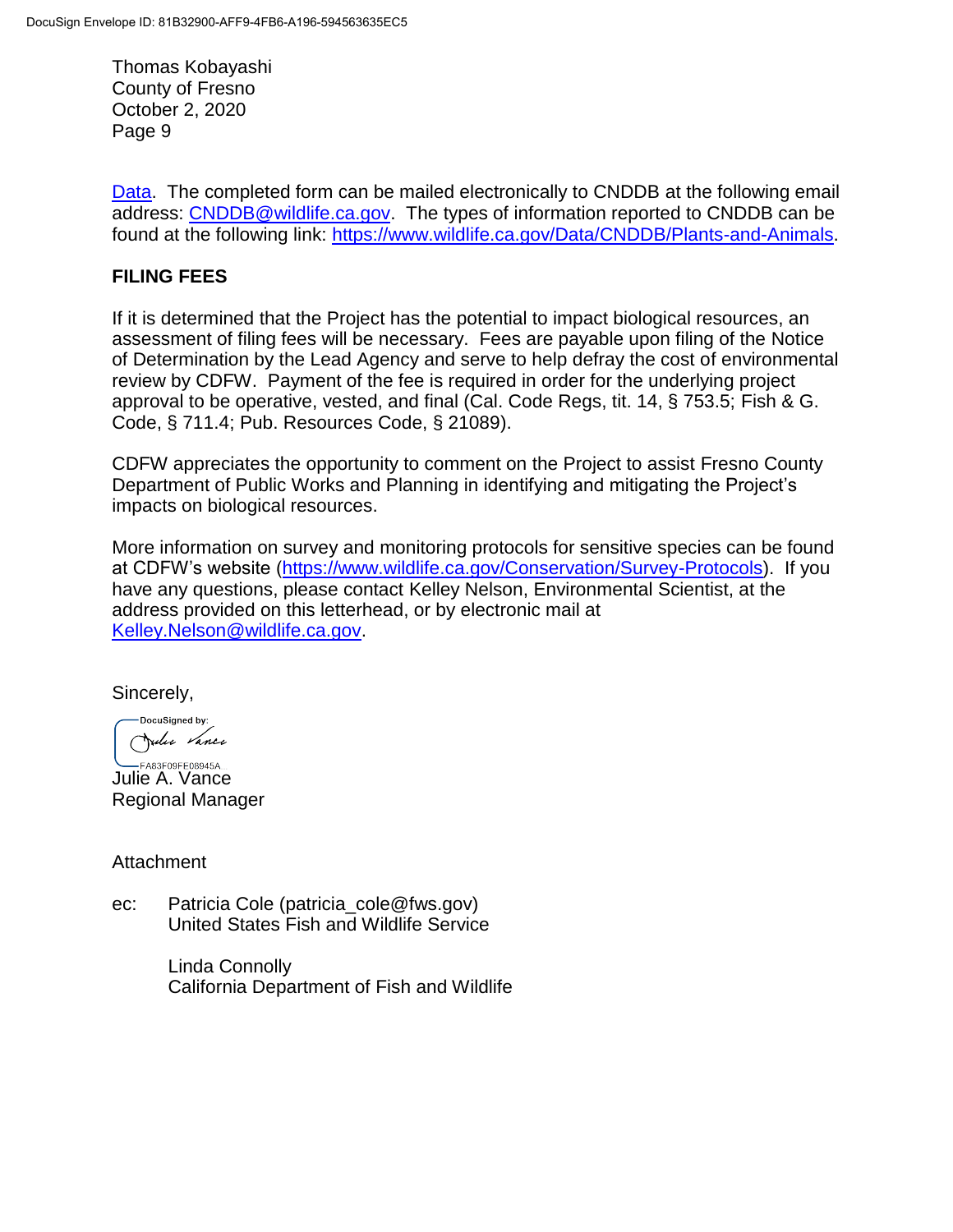[Data.](https://www.wildlife.ca.gov/Data/CNDDB/Submitting-Data) The completed form can be mailed electronically to CNDDB at the following email address: [CNDDB@wildlife.ca.gov.](mailto:CNDDB@wildlife.ca.gov) The types of information reported to CNDDB can be found at the following link: [https://www.wildlife.ca.gov/Data/CNDDB/Plants-and-Animals.](https://www.wildlife.ca.gov/Data/CNDDB/Plants-and-Animals)

### **FILING FEES**

If it is determined that the Project has the potential to impact biological resources, an assessment of filing fees will be necessary. Fees are payable upon filing of the Notice of Determination by the Lead Agency and serve to help defray the cost of environmental review by CDFW. Payment of the fee is required in order for the underlying project approval to be operative, vested, and final (Cal. Code Regs, tit. 14, § 753.5; Fish & G. Code, § 711.4; Pub. Resources Code, § 21089).

CDFW appreciates the opportunity to comment on the Project to assist Fresno County Department of Public Works and Planning in identifying and mitigating the Project's impacts on biological resources.

More information on survey and monitoring protocols for sensitive species can be found at CDFW's website [\(https://www.wildlife.ca.gov/Conservation/Survey-Protocols\)](http://dfgintranet/Portal/LinkClick.aspx?fileticket=wBG3wBk2T7M=&tabid=260&web=1). If you have any questions, please contact Kelley Nelson, Environmental Scientist, at the address provided on this letterhead, or by electronic mail at [Kelley.Nelson@wildlife.ca.gov.](mailto:Kelley.Nelson@wildlife.ca.gov)

Sincerely,

DocuSigned by: Julie Vance

**Julie A. Vance** Regional Manager

Attachment

ec: Patricia Cole (patricia\_cole@fws.gov) United States Fish and Wildlife Service

> Linda Connolly California Department of Fish and Wildlife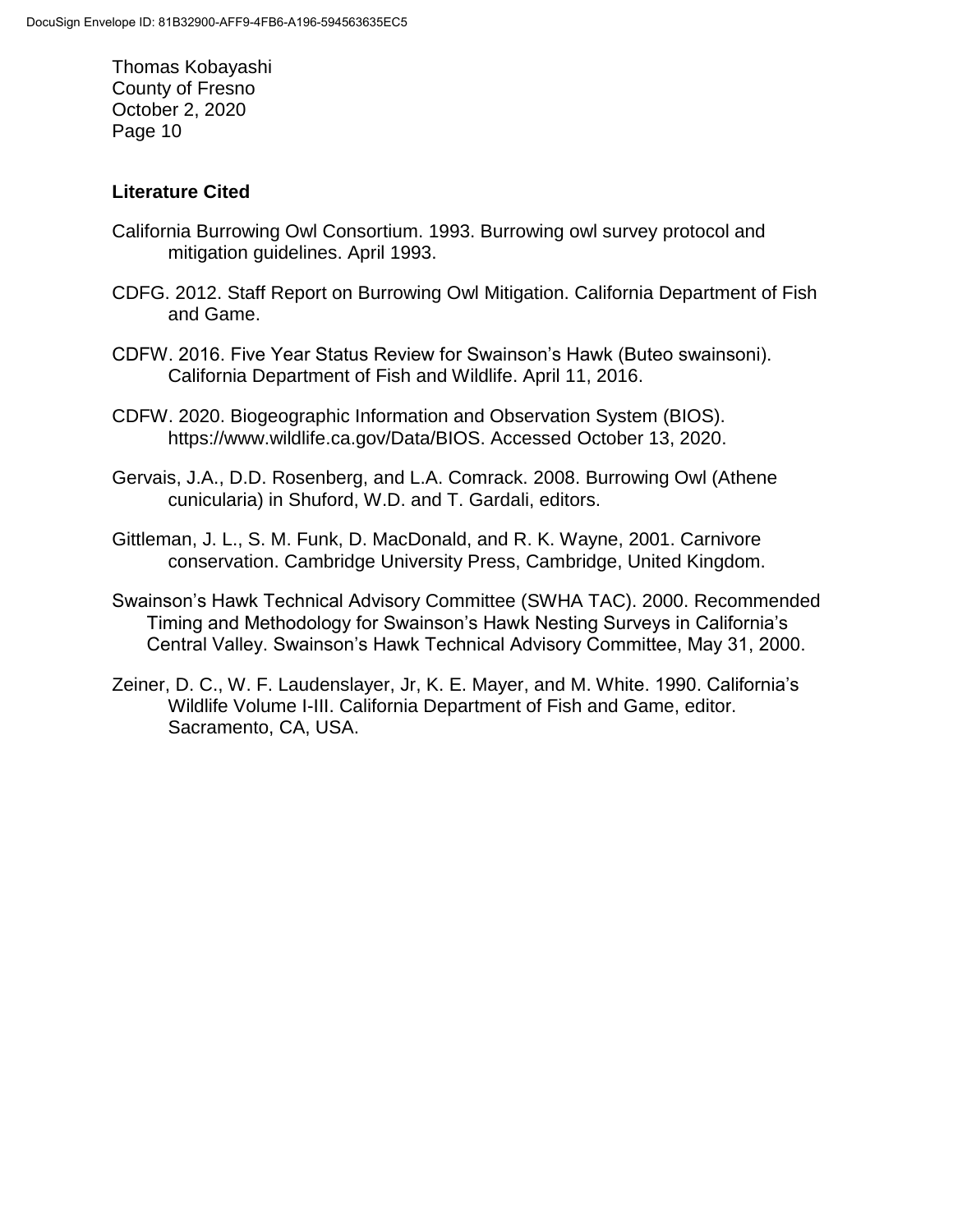### **Literature Cited**

- California Burrowing Owl Consortium. 1993. Burrowing owl survey protocol and mitigation guidelines. April 1993.
- CDFG. 2012. Staff Report on Burrowing Owl Mitigation. California Department of Fish and Game.
- CDFW. 2016. Five Year Status Review for Swainson's Hawk (Buteo swainsoni). California Department of Fish and Wildlife. April 11, 2016.
- CDFW. 2020. Biogeographic Information and Observation System (BIOS). https://www.wildlife.ca.gov/Data/BIOS. Accessed October 13, 2020.
- Gervais, J.A., D.D. Rosenberg, and L.A. Comrack. 2008. Burrowing Owl (Athene cunicularia) in Shuford, W.D. and T. Gardali, editors.
- Gittleman, J. L., S. M. Funk, D. MacDonald, and R. K. Wayne, 2001. Carnivore conservation. Cambridge University Press, Cambridge, United Kingdom.
- Swainson's Hawk Technical Advisory Committee (SWHA TAC). 2000. Recommended Timing and Methodology for Swainson's Hawk Nesting Surveys in California's Central Valley. Swainson's Hawk Technical Advisory Committee, May 31, 2000.
- Zeiner, D. C., W. F. Laudenslayer, Jr, K. E. Mayer, and M. White. 1990. California's Wildlife Volume I-III. California Department of Fish and Game, editor. Sacramento, CA, USA.